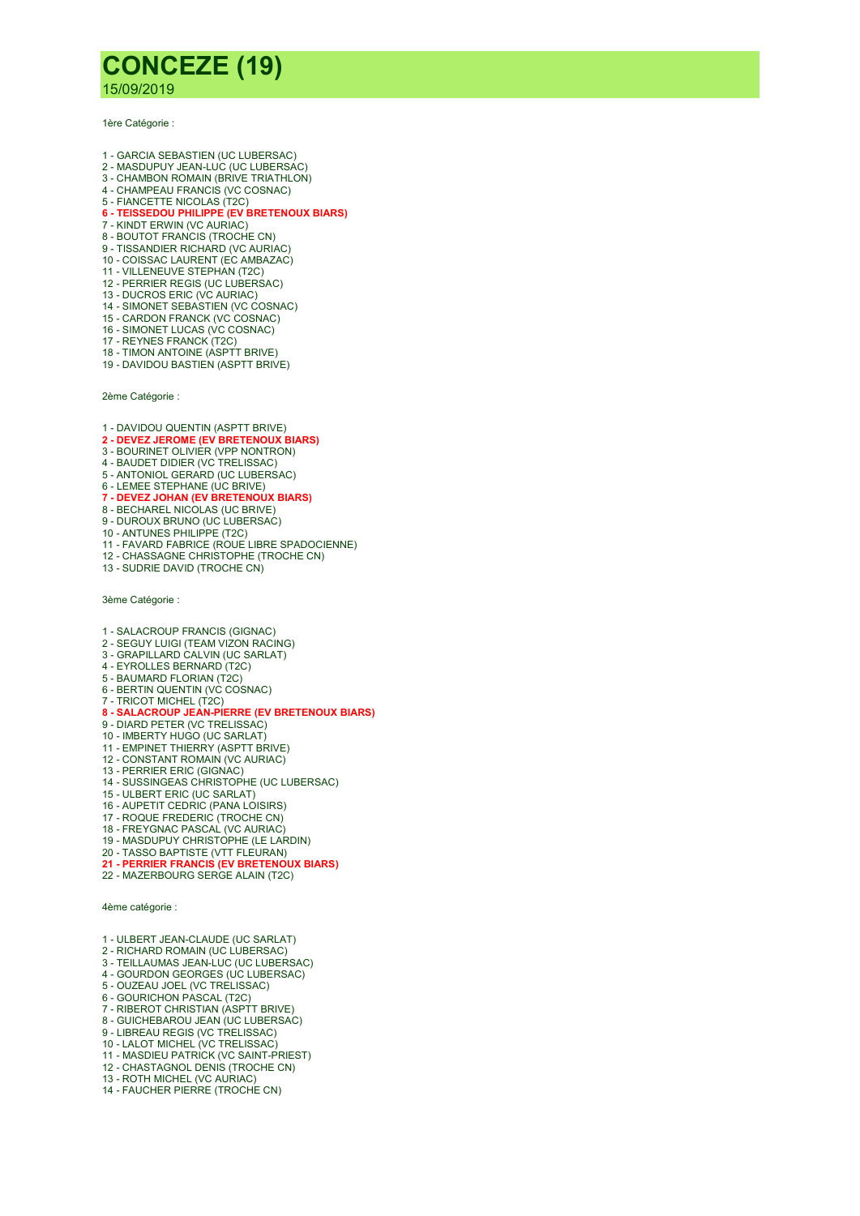## CONCEZE (19)

15/09/2019

1ère Catégorie :

- 1 GARCIA SEBASTIEN (UC LUBERSAC)
- 2 MASDUPUY JEAN-LUC (UC LUBERSAC)
- 3 CHAMBON ROMAIN (BRIVE TRIATHLON) 4 - CHAMPEAU FRANCIS (VC COSNAC)
- 5 FIANCETTE NICOLAS (T2C)
- 6 TEISSEDOU PHILIPPE (EV BRETENOUX BIARS)
- 7 KINDT ERWIN (VC AURIAC)
- 8 BOUTOT FRANCIS (TROCHE CN)
- 9 TISSANDIER RICHARD (VC AURIAC)
- 10 COISSAC LAURENT (EC AMBAZAC)
- 11 VILLENEUVE STEPHAN (T2C) 12 - PERRIER REGIS (UC LUBERSAC)
- 13 DUCROS ERIC (VC AURIAC)
- 14 SIMONET SEBASTIEN (VC COSNAC)
- 15 CARDON FRANCK (VC COSNAC)
- 16 SIMONET LUCAS (VC COSNAC)
- 17 REYNES FRANCK (T2C)
- 18 TIMON ANTOINE (ASPTT BRIVE) 19 - DAVIDOU BASTIEN (ASPTT BRIVE)

2ème Catégorie :

- 1 DAVIDOU QUENTIN (ASPTT BRIVE)<br>**2 DEVEZ JEROME (EV BRETENOUX BIARS)**
- 
- 3 BOURINET OLIVIER (VPP NONTRON) 4 - BAUDET DIDIER (VC TRELISSAC)
- 5 ANTONIOL GERARD (UC LUBERSAC)
- 
- 6 LEMEE STEPHANE (UC BRIVE)<br>**7 DEVEZ JOHAN (EV BRETENOUX BIARS)**
- 8 BECHAREL NICOLAS (UC BRIVE)
- 9 DUROUX BRUNO (UC LUBERSAC)
- 10 ANTUNES PHILIPPE (T2C)
- 11 FAVARD FABRICE (ROUE LIBRE SPADOCIENNE)
- 12 CHASSAGNE CHRISTOPHE (TROCHE CN) 13 - SUDRIE DAVID (TROCHE CN)
- 

3ème Catégorie :

- 1 SALACROUP FRANCIS (GIGNAC)
- 2 SEGUY LUIGI (TEAM VIZON RACING)
- 3 GRAPILLARD CALVIN (UC SARLAT)
- 4 EYROLLES BERNARD (T2C) 5 - BAUMARD FLORIAN (T2C)
- 6 BERTIN QUENTIN (VC COSNAC)
- 7 TRICOT MICHEL (T2C)
- 8 SALACROUP JEAN-PIERRE (EV BRETENOUX BIARS)
- 9 DIARD PETER (VC TRELISSAC)
- 10 IMBERTY HUGO (UC SARLAT)
- 11 EMPINET THIERRY (ASPTT BRIVE) 12 - CONSTANT ROMAIN (VC AURIAC)
- 13 PERRIER ERIC (GIGNAC)
- 14 SUSSINGEAS CHRISTOPHE (UC LUBERSAC)
- 15 ULBERT ERIC (UC SARLAT)
- 16 AUPETIT CEDRIC (PANA LOISIRS)
- 17 ROQUE FREDERIC (TROCHE CN)
- 18 FREYGNAC PASCAL (VC AURIAC)
- 19 MASDUPUY CHRISTOPHE (LE LARDIN)
- 
- 20 TASSO BAPTISTE (VTT FLEURAN)<br>**21 PERRIER FRANCIS (EV BRETENOUX BIARS)**
- 22 MAZERBOURG SERGE ALAIN (T2C)

4ème catégorie :

- 1 ULBERT JEAN-CLAUDE (UC SARLAT)
- 2 RICHARD ROMAIN (UC LUBERSAC)
- 3 TEILLAUMAS JEAN-LUC (UC LUBERSAC)
- 4 GOURDON GEORGES (UC LUBERSAC) 5 - OUZEAU JOEL (VC TRELISSAC)
- 6 GOURICHON PASCAL (T2C)
- 7 RIBEROT CHRISTIAN (ASPTT BRIVE)
- 8 GUICHEBAROU JEAN (UC LUBERSAC)
- 9 LIBREAU REGIS (VC TRELISSAC)
- 10 LALOT MICHEL (VC TRELISSAC)
- 11 MASDIEU PATRICK (VC SAINT-PRIEST)
- 12 CHASTAGNOL DENIS (TROCHE CN)
- 13 ROTH MICHEL (VC AURIAC)
- 14 FAUCHER PIERRE (TROCHE CN)